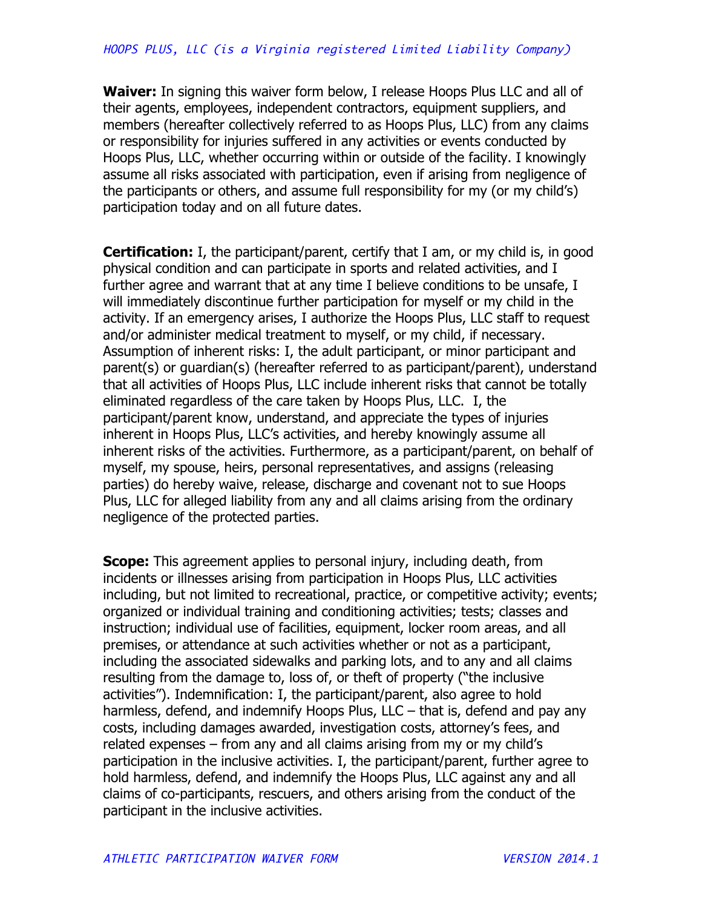**Waiver:** In signing this waiver form below, I release Hoops Plus LLC and all of their agents, employees, independent contractors, equipment suppliers, and members (hereafter collectively referred to as Hoops Plus, LLC) from any claims or responsibility for injuries suffered in any activities or events conducted by Hoops Plus, LLC, whether occurring within or outside of the facility. I knowingly assume all risks associated with participation, even if arising from negligence of the participants or others, and assume full responsibility for my (or my child's) participation today and on all future dates.

**Certification:** I, the participant/parent, certify that I am, or my child is, in good physical condition and can participate in sports and related activities, and I further agree and warrant that at any time I believe conditions to be unsafe, I will immediately discontinue further participation for myself or my child in the activity. If an emergency arises, I authorize the Hoops Plus, LLC staff to request and/or administer medical treatment to myself, or my child, if necessary. Assumption of inherent risks: I, the adult participant, or minor participant and parent(s) or guardian(s) (hereafter referred to as participant/parent), understand that all activities of Hoops Plus, LLC include inherent risks that cannot be totally eliminated regardless of the care taken by Hoops Plus, LLC. I, the participant/parent know, understand, and appreciate the types of injuries inherent in Hoops Plus, LLC's activities, and hereby knowingly assume all inherent risks of the activities. Furthermore, as a participant/parent, on behalf of myself, my spouse, heirs, personal representatives, and assigns (releasing parties) do hereby waive, release, discharge and covenant not to sue Hoops Plus, LLC for alleged liability from any and all claims arising from the ordinary negligence of the protected parties.

**Scope:** This agreement applies to personal injury, including death, from incidents or illnesses arising from participation in Hoops Plus, LLC activities including, but not limited to recreational, practice, or competitive activity; events; organized or individual training and conditioning activities; tests; classes and instruction; individual use of facilities, equipment, locker room areas, and all premises, or attendance at such activities whether or not as a participant, including the associated sidewalks and parking lots, and to any and all claims resulting from the damage to, loss of, or theft of property ("the inclusive activities"). Indemnification: I, the participant/parent, also agree to hold harmless, defend, and indemnify Hoops Plus, LLC – that is, defend and pay any costs, including damages awarded, investigation costs, attorney's fees, and related expenses – from any and all claims arising from my or my child's participation in the inclusive activities. I, the participant/parent, further agree to hold harmless, defend, and indemnify the Hoops Plus, LLC against any and all claims of co-participants, rescuers, and others arising from the conduct of the participant in the inclusive activities.